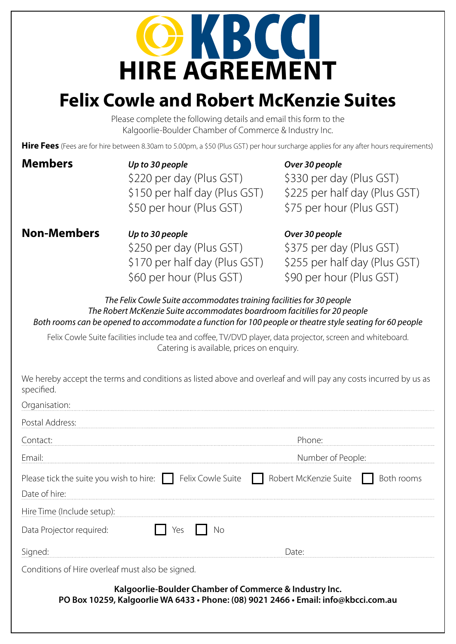# **COKBCCI**<br>HIRE AGREEMENT

### **Felix Cowle and Robert McKenzie Suites**

Please complete the following details and email this form to the Kalgoorlie-Boulder Chamber of Commerce & Industry Inc.

Hire Fees (Fees are for hire between 8.30am to 5.00pm, a \$50 (Plus GST) per hour surcharge applies for any after hours requirements)

| <b>Members</b> | Up to 30 people               | Over 30 people |
|----------------|-------------------------------|----------------|
|                | \$220 per day (Plus GST)      | \$330 per da   |
|                | \$150 per half day (Plus GST) | \$225 per ha   |
|                | \$50 per hour (Plus GST)      | \$75 per hou   |
|                |                               |                |

0 per day (Plus GST) 5 per half day (Plus GST) per hour (Plus GST)

#### **Non-Members** *Up to 30 people Over 30 people*

\$250 per day (Plus GST) \$375 per day (Plus GST) \$60 per hour (Plus GST) \$90 per hour (Plus GST)

\$170 per half day (Plus GST) \$255 per half day (Plus GST)

*The Felix Cowle Suite accommodates training facilities for 30 people The Robert McKenzie Suite accommodates boardroom facitilies for 20 people Both rooms can be opened to accommodate a function for 100 people or theatre style seating for 60 people*

Felix Cowle Suite facilities include tea and coffee, TV/DVD player, data projector, screen and whiteboard. Catering is available, prices on enquiry.

| We hereby accept the terms and conditions as listed above and overleaf and will pay any costs incurred by us as |
|-----------------------------------------------------------------------------------------------------------------|
| specified.                                                                                                      |

| Organisation:                                                                                                                                 |                   |  |  |  |
|-----------------------------------------------------------------------------------------------------------------------------------------------|-------------------|--|--|--|
| Postal Address:                                                                                                                               |                   |  |  |  |
| Contact:                                                                                                                                      | Phone:            |  |  |  |
| Email:                                                                                                                                        | Number of People: |  |  |  |
| Please tick the suite you wish to hire: $\Box$ Felix Cowle Suite $\Box$ Robert McKenzie Suite $\Box$<br>Date of hire:                         | Both rooms        |  |  |  |
| Hire Time (Include setup):                                                                                                                    |                   |  |  |  |
| Data Projector required:<br>Yes<br>Nο                                                                                                         |                   |  |  |  |
| Signed:                                                                                                                                       | l )ater           |  |  |  |
| Conditions of Hire overleaf must also be signed.                                                                                              |                   |  |  |  |
| Kalgoorlie-Boulder Chamber of Commerce & Industry Inc.<br>PO Box 10259, Kalgoorlie WA 6433 · Phone: (08) 9021 2466 · Email: info@kbcci.com.au |                   |  |  |  |